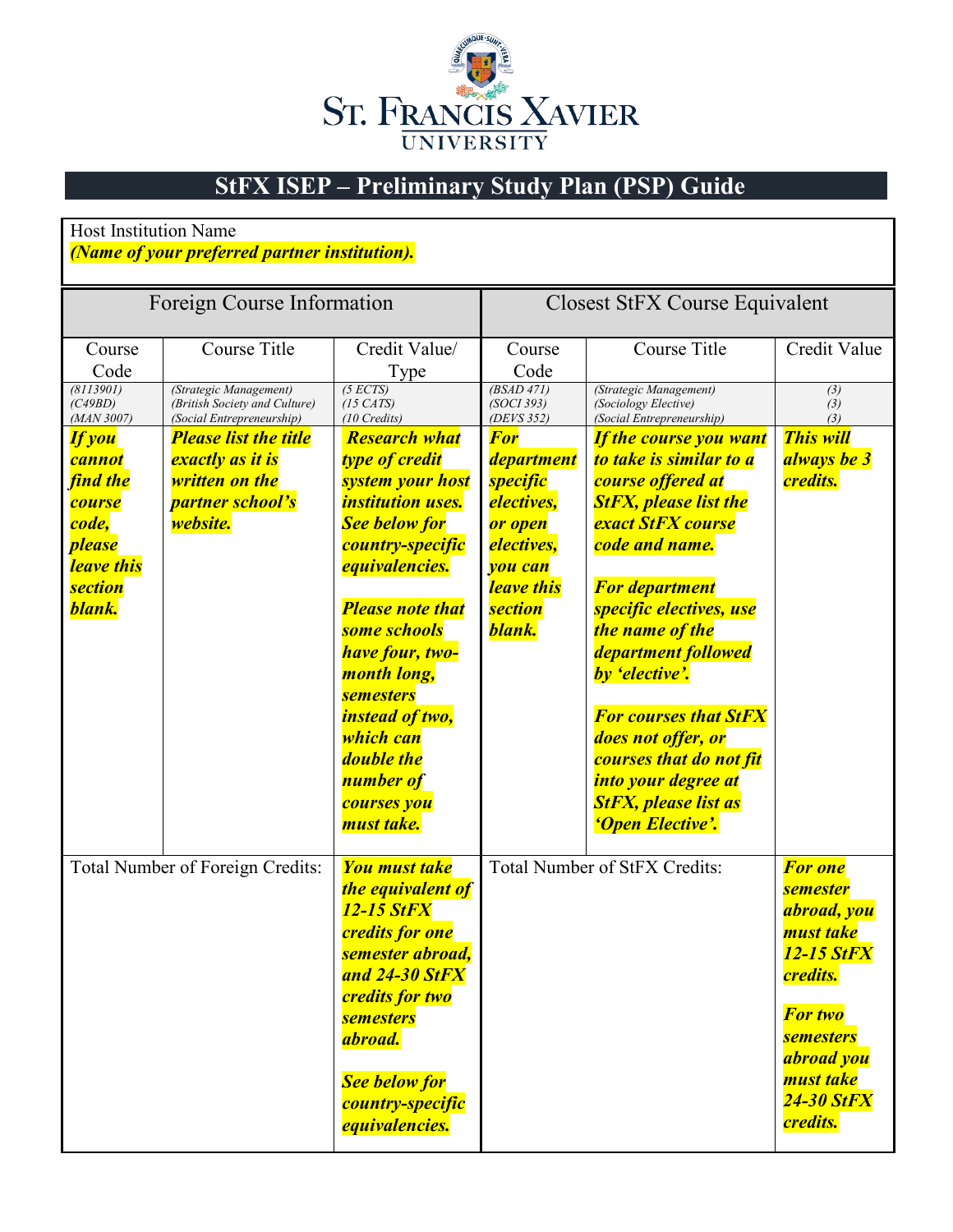

## **StFX ISEP – Preliminary Study Plan (PSP) Guide**

## Host Institution Name

## *(Name of your preferred partner institution).*

| Foreign Course Information                                                                                               |                                                                                                                  |                                                                                                                                                                                                                                                                                                                                                                                         | Closest StFX Course Equivalent                                                                                                                        |                                                                                                                                                                                                                                                                                                                                                                                                                                        |                                                                                                                                                                                                         |  |  |  |
|--------------------------------------------------------------------------------------------------------------------------|------------------------------------------------------------------------------------------------------------------|-----------------------------------------------------------------------------------------------------------------------------------------------------------------------------------------------------------------------------------------------------------------------------------------------------------------------------------------------------------------------------------------|-------------------------------------------------------------------------------------------------------------------------------------------------------|----------------------------------------------------------------------------------------------------------------------------------------------------------------------------------------------------------------------------------------------------------------------------------------------------------------------------------------------------------------------------------------------------------------------------------------|---------------------------------------------------------------------------------------------------------------------------------------------------------------------------------------------------------|--|--|--|
| Course<br>Code                                                                                                           | Course Title                                                                                                     | Credit Value/<br>Type                                                                                                                                                                                                                                                                                                                                                                   | Course<br>Code                                                                                                                                        | Course Title                                                                                                                                                                                                                                                                                                                                                                                                                           | Credit Value                                                                                                                                                                                            |  |  |  |
| (8113901)<br>(C49BD)<br>(MAN 3007)                                                                                       | (Strategic Management)<br>(British Society and Culture)<br>(Social Entrepreneurship)                             | (5 ECTS)<br>$(15 \text{ CATS})$<br>$(10$ Credits)                                                                                                                                                                                                                                                                                                                                       | (BSAD 471)<br>(SOCI 393)<br>(DEVS 352)                                                                                                                | (Strategic Management)<br>(Sociology Elective)<br>(Social Entrepreneurship)                                                                                                                                                                                                                                                                                                                                                            | (3)<br>(3)<br>(3)                                                                                                                                                                                       |  |  |  |
| <b>If you</b><br>cannot<br>find the<br><b>course</b><br>code,<br><i>please</i><br>leave this<br><b>section</b><br>blank. | <b>Please list the title</b><br>exactly as it is<br><b>written on the</b><br>partner school's<br><i>website.</i> | <b>Research what</b><br><b>type of credit</b><br><b>system your host</b><br><i><b>institution uses.</b></i><br><b>See below for</b><br>country-specific<br><i>equivalencies.</i><br><b>Please note that</b><br>some schools<br>have four, two-<br>month long,<br><b>semesters</b><br><i>instead of two,</i><br>which can<br><b>double the</b><br>number of<br>courses you<br>must take. | <b>For</b><br>department<br><b>specific</b><br><i>electives,</i><br>or open<br><i>electives,</i><br>you can<br>leave this<br><b>section</b><br>blank. | <b>If the course you want</b><br>to take is similar to a<br>course offered at<br><b>StFX, please list the</b><br><b>exact StFX course</b><br>code and name.<br><b>For department</b><br>specific electives, use<br>the name of the<br>department followed<br>by 'elective'.<br><b>For courses that StFX</b><br>does not offer, or<br>courses that do not fit<br>into your degree at<br><b>StFX, please list as</b><br>'Open Elective'. | <b>This will</b><br>always be 3<br><i>credits.</i>                                                                                                                                                      |  |  |  |
|                                                                                                                          | Total Number of Foreign Credits:                                                                                 | <b>You must take</b><br>the equivalent of<br><b>12-15 StFX</b><br><b>credits for one</b><br>semester abroad,<br>and 24-30 StFX<br><b>credits for two</b><br><b>semesters</b><br>abroad.<br><b>See below for</b><br>country-specific<br><i>equivalencies.</i>                                                                                                                            |                                                                                                                                                       | <b>Total Number of StFX Credits:</b>                                                                                                                                                                                                                                                                                                                                                                                                   | <b>For one</b><br><b>semester</b><br>abroad, you<br>must take<br>12-15 StFX<br><i>credits.</i><br><b>For two</b><br><b>semesters</b><br>abroad you<br>must take<br><b>24-30 StFX</b><br><b>credits.</b> |  |  |  |